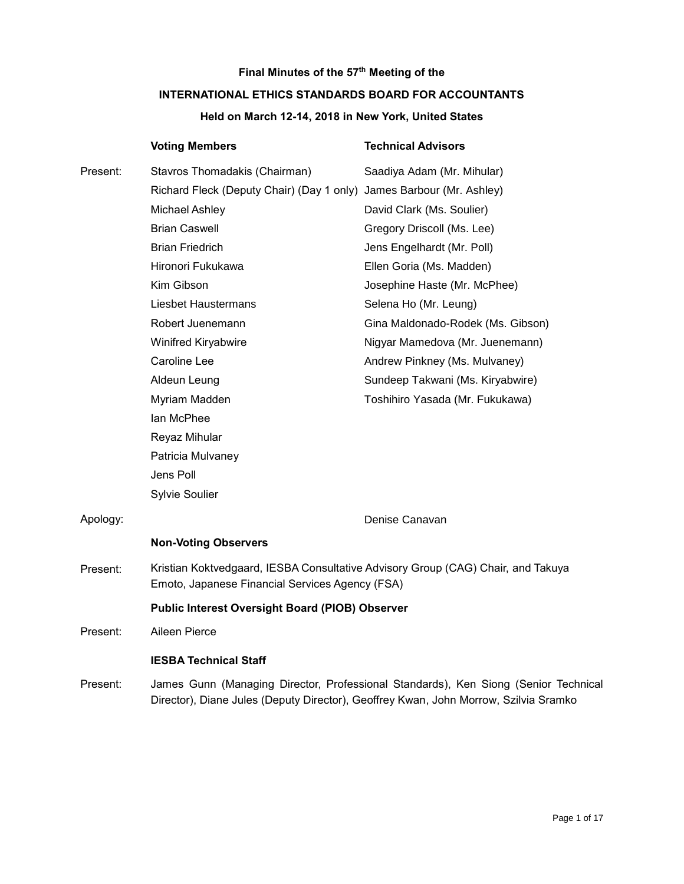# **Final Minutes of the 57th Meeting of the**

# **INTERNATIONAL ETHICS STANDARDS BOARD FOR ACCOUNTANTS**

# **Held on March 12-14, 2018 in New York, United States**

|          | <b>Voting Members</b>                                                                                                                                                       | <b>Technical Advisors</b>         |
|----------|-----------------------------------------------------------------------------------------------------------------------------------------------------------------------------|-----------------------------------|
| Present: | Stavros Thomadakis (Chairman)                                                                                                                                               | Saadiya Adam (Mr. Mihular)        |
|          | Richard Fleck (Deputy Chair) (Day 1 only) James Barbour (Mr. Ashley)                                                                                                        |                                   |
|          | <b>Michael Ashley</b>                                                                                                                                                       | David Clark (Ms. Soulier)         |
|          | <b>Brian Caswell</b>                                                                                                                                                        | Gregory Driscoll (Ms. Lee)        |
|          | <b>Brian Friedrich</b>                                                                                                                                                      | Jens Engelhardt (Mr. Poll)        |
|          | Hironori Fukukawa                                                                                                                                                           | Ellen Goria (Ms. Madden)          |
|          | Kim Gibson                                                                                                                                                                  | Josephine Haste (Mr. McPhee)      |
|          | Liesbet Haustermans                                                                                                                                                         | Selena Ho (Mr. Leung)             |
|          | Robert Juenemann                                                                                                                                                            | Gina Maldonado-Rodek (Ms. Gibson) |
|          | Winifred Kiryabwire                                                                                                                                                         | Nigyar Mamedova (Mr. Juenemann)   |
|          | Caroline Lee                                                                                                                                                                | Andrew Pinkney (Ms. Mulvaney)     |
|          | Aldeun Leung                                                                                                                                                                | Sundeep Takwani (Ms. Kiryabwire)  |
|          | Myriam Madden                                                                                                                                                               | Toshihiro Yasada (Mr. Fukukawa)   |
|          | lan McPhee                                                                                                                                                                  |                                   |
|          | Reyaz Mihular                                                                                                                                                               |                                   |
|          | Patricia Mulvaney                                                                                                                                                           |                                   |
|          | Jens Poll                                                                                                                                                                   |                                   |
|          | <b>Sylvie Soulier</b>                                                                                                                                                       |                                   |
| Apology: |                                                                                                                                                                             | Denise Canavan                    |
|          | <b>Non-Voting Observers</b>                                                                                                                                                 |                                   |
| Present: | Kristian Koktvedgaard, IESBA Consultative Advisory Group (CAG) Chair, and Takuya<br>Emoto, Japanese Financial Services Agency (FSA)                                         |                                   |
|          | <b>Public Interest Oversight Board (PIOB) Observer</b>                                                                                                                      |                                   |
| Present: | Aileen Pierce                                                                                                                                                               |                                   |
|          | <b>IESBA Technical Staff</b>                                                                                                                                                |                                   |
| Present: | James Gunn (Managing Director, Professional Standards), Ken Siong (Senior Technical<br>Director), Diane Jules (Deputy Director), Geoffrey Kwan, John Morrow, Szilvia Sramko |                                   |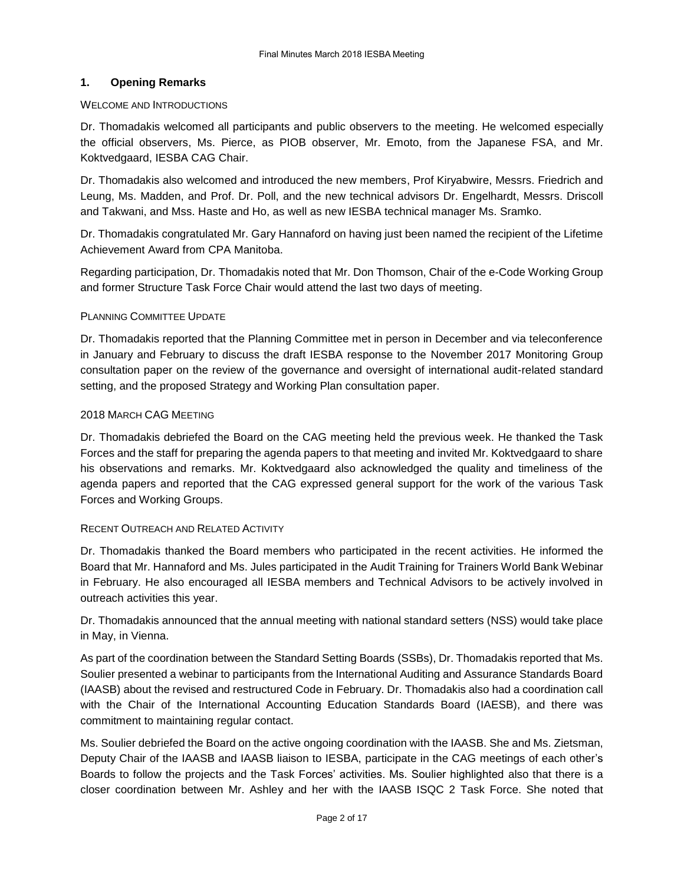# **1. Opening Remarks**

### WELCOME AND INTRODUCTIONS

Dr. Thomadakis welcomed all participants and public observers to the meeting. He welcomed especially the official observers, Ms. Pierce, as PIOB observer, Mr. Emoto, from the Japanese FSA, and Mr. Koktvedgaard, IESBA CAG Chair.

Dr. Thomadakis also welcomed and introduced the new members, Prof Kiryabwire, Messrs. Friedrich and Leung, Ms. Madden, and Prof. Dr. Poll, and the new technical advisors Dr. Engelhardt, Messrs. Driscoll and Takwani, and Mss. Haste and Ho, as well as new IESBA technical manager Ms. Sramko.

Dr. Thomadakis congratulated Mr. Gary Hannaford on having just been named the recipient of the Lifetime Achievement Award from CPA Manitoba.

Regarding participation, Dr. Thomadakis noted that Mr. Don Thomson, Chair of the e-Code Working Group and former Structure Task Force Chair would attend the last two days of meeting.

# PLANNING COMMITTEE UPDATE

Dr. Thomadakis reported that the Planning Committee met in person in December and via teleconference in January and February to discuss the draft IESBA response to the November 2017 Monitoring Group consultation paper on the review of the governance and oversight of international audit-related standard setting, and the proposed Strategy and Working Plan consultation paper.

#### 2018 MARCH CAG MEETING

Dr. Thomadakis debriefed the Board on the CAG meeting held the previous week. He thanked the Task Forces and the staff for preparing the agenda papers to that meeting and invited Mr. Koktvedgaard to share his observations and remarks. Mr. Koktvedgaard also acknowledged the quality and timeliness of the agenda papers and reported that the CAG expressed general support for the work of the various Task Forces and Working Groups.

# RECENT OUTREACH AND RELATED ACTIVITY

Dr. Thomadakis thanked the Board members who participated in the recent activities. He informed the Board that Mr. Hannaford and Ms. Jules participated in the Audit Training for Trainers World Bank Webinar in February. He also encouraged all IESBA members and Technical Advisors to be actively involved in outreach activities this year.

Dr. Thomadakis announced that the annual meeting with national standard setters (NSS) would take place in May, in Vienna.

As part of the coordination between the Standard Setting Boards (SSBs), Dr. Thomadakis reported that Ms. Soulier presented a webinar to participants from the International Auditing and Assurance Standards Board (IAASB) about the revised and restructured Code in February. Dr. Thomadakis also had a coordination call with the Chair of the International Accounting Education Standards Board (IAESB), and there was commitment to maintaining regular contact.

Ms. Soulier debriefed the Board on the active ongoing coordination with the IAASB. She and Ms. Zietsman, Deputy Chair of the IAASB and IAASB liaison to IESBA, participate in the CAG meetings of each other's Boards to follow the projects and the Task Forces' activities. Ms. Soulier highlighted also that there is a closer coordination between Mr. Ashley and her with the IAASB ISQC 2 Task Force. She noted that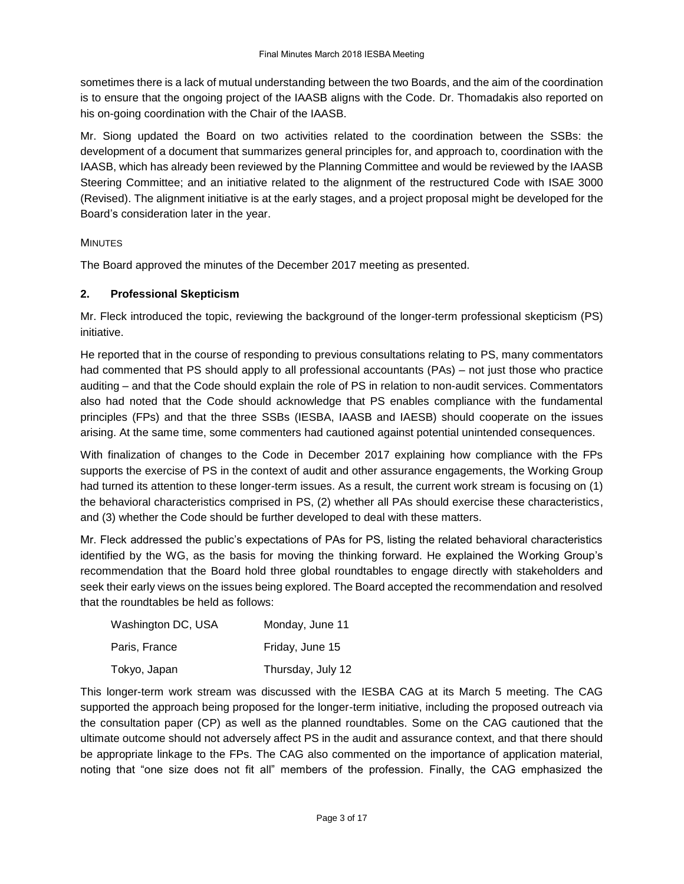sometimes there is a lack of mutual understanding between the two Boards, and the aim of the coordination is to ensure that the ongoing project of the IAASB aligns with the Code. Dr. Thomadakis also reported on his on-going coordination with the Chair of the IAASB.

Mr. Siong updated the Board on two activities related to the coordination between the SSBs: the development of a document that summarizes general principles for, and approach to, coordination with the IAASB, which has already been reviewed by the Planning Committee and would be reviewed by the IAASB Steering Committee; and an initiative related to the alignment of the restructured Code with ISAE 3000 (Revised). The alignment initiative is at the early stages, and a project proposal might be developed for the Board's consideration later in the year.

# MINUTES

The Board approved the minutes of the December 2017 meeting as presented.

# **2. Professional Skepticism**

Mr. Fleck introduced the topic, reviewing the background of the longer-term professional skepticism (PS) initiative.

He reported that in the course of responding to previous consultations relating to PS, many commentators had commented that PS should apply to all professional accountants (PAs) – not just those who practice auditing – and that the Code should explain the role of PS in relation to non-audit services. Commentators also had noted that the Code should acknowledge that PS enables compliance with the fundamental principles (FPs) and that the three SSBs (IESBA, IAASB and IAESB) should cooperate on the issues arising. At the same time, some commenters had cautioned against potential unintended consequences.

With finalization of changes to the Code in December 2017 explaining how compliance with the FPs supports the exercise of PS in the context of audit and other assurance engagements, the Working Group had turned its attention to these longer-term issues. As a result, the current work stream is focusing on (1) the behavioral characteristics comprised in PS, (2) whether all PAs should exercise these characteristics, and (3) whether the Code should be further developed to deal with these matters.

Mr. Fleck addressed the public's expectations of PAs for PS, listing the related behavioral characteristics identified by the WG, as the basis for moving the thinking forward. He explained the Working Group's recommendation that the Board hold three global roundtables to engage directly with stakeholders and seek their early views on the issues being explored. The Board accepted the recommendation and resolved that the roundtables be held as follows:

| Washington DC, USA | Monday, June 11   |
|--------------------|-------------------|
| Paris, France      | Friday, June 15   |
| Tokyo, Japan       | Thursday, July 12 |

This longer-term work stream was discussed with the IESBA CAG at its March 5 meeting. The CAG supported the approach being proposed for the longer-term initiative, including the proposed outreach via the consultation paper (CP) as well as the planned roundtables. Some on the CAG cautioned that the ultimate outcome should not adversely affect PS in the audit and assurance context, and that there should be appropriate linkage to the FPs. The CAG also commented on the importance of application material, noting that "one size does not fit all" members of the profession. Finally, the CAG emphasized the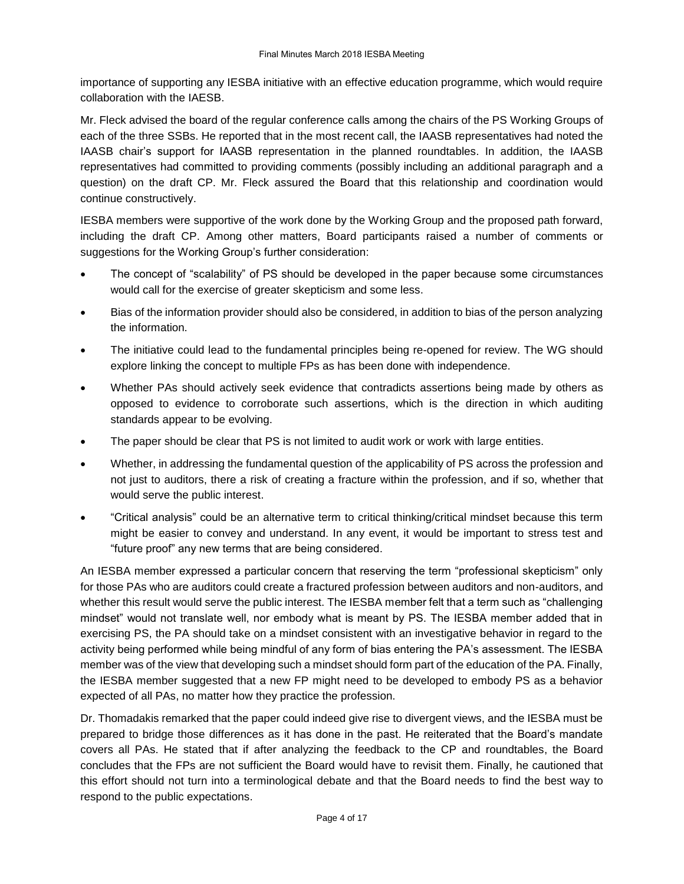importance of supporting any IESBA initiative with an effective education programme, which would require collaboration with the IAESB.

Mr. Fleck advised the board of the regular conference calls among the chairs of the PS Working Groups of each of the three SSBs. He reported that in the most recent call, the IAASB representatives had noted the IAASB chair's support for IAASB representation in the planned roundtables. In addition, the IAASB representatives had committed to providing comments (possibly including an additional paragraph and a question) on the draft CP. Mr. Fleck assured the Board that this relationship and coordination would continue constructively.

IESBA members were supportive of the work done by the Working Group and the proposed path forward, including the draft CP. Among other matters, Board participants raised a number of comments or suggestions for the Working Group's further consideration:

- The concept of "scalability" of PS should be developed in the paper because some circumstances would call for the exercise of greater skepticism and some less.
- Bias of the information provider should also be considered, in addition to bias of the person analyzing the information.
- The initiative could lead to the fundamental principles being re-opened for review. The WG should explore linking the concept to multiple FPs as has been done with independence.
- Whether PAs should actively seek evidence that contradicts assertions being made by others as opposed to evidence to corroborate such assertions, which is the direction in which auditing standards appear to be evolving.
- The paper should be clear that PS is not limited to audit work or work with large entities.
- Whether, in addressing the fundamental question of the applicability of PS across the profession and not just to auditors, there a risk of creating a fracture within the profession, and if so, whether that would serve the public interest.
- "Critical analysis" could be an alternative term to critical thinking/critical mindset because this term might be easier to convey and understand. In any event, it would be important to stress test and "future proof" any new terms that are being considered.

An IESBA member expressed a particular concern that reserving the term "professional skepticism" only for those PAs who are auditors could create a fractured profession between auditors and non-auditors, and whether this result would serve the public interest. The IESBA member felt that a term such as "challenging mindset" would not translate well, nor embody what is meant by PS. The IESBA member added that in exercising PS, the PA should take on a mindset consistent with an investigative behavior in regard to the activity being performed while being mindful of any form of bias entering the PA's assessment. The IESBA member was of the view that developing such a mindset should form part of the education of the PA. Finally, the IESBA member suggested that a new FP might need to be developed to embody PS as a behavior expected of all PAs, no matter how they practice the profession.

Dr. Thomadakis remarked that the paper could indeed give rise to divergent views, and the IESBA must be prepared to bridge those differences as it has done in the past. He reiterated that the Board's mandate covers all PAs. He stated that if after analyzing the feedback to the CP and roundtables, the Board concludes that the FPs are not sufficient the Board would have to revisit them. Finally, he cautioned that this effort should not turn into a terminological debate and that the Board needs to find the best way to respond to the public expectations.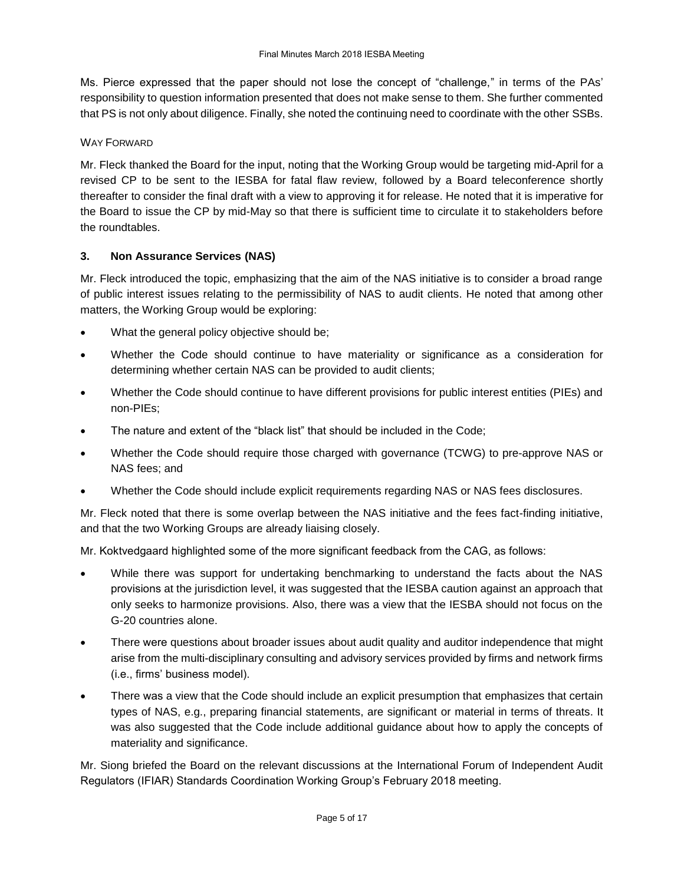Ms. Pierce expressed that the paper should not lose the concept of "challenge," in terms of the PAs' responsibility to question information presented that does not make sense to them. She further commented that PS is not only about diligence. Finally, she noted the continuing need to coordinate with the other SSBs.

# WAY FORWARD

Mr. Fleck thanked the Board for the input, noting that the Working Group would be targeting mid-April for a revised CP to be sent to the IESBA for fatal flaw review, followed by a Board teleconference shortly thereafter to consider the final draft with a view to approving it for release. He noted that it is imperative for the Board to issue the CP by mid-May so that there is sufficient time to circulate it to stakeholders before the roundtables.

# **3. Non Assurance Services (NAS)**

Mr. Fleck introduced the topic, emphasizing that the aim of the NAS initiative is to consider a broad range of public interest issues relating to the permissibility of NAS to audit clients. He noted that among other matters, the Working Group would be exploring:

- What the general policy objective should be;
- Whether the Code should continue to have materiality or significance as a consideration for determining whether certain NAS can be provided to audit clients;
- Whether the Code should continue to have different provisions for public interest entities (PIEs) and non-PIEs;
- The nature and extent of the "black list" that should be included in the Code;
- Whether the Code should require those charged with governance (TCWG) to pre-approve NAS or NAS fees; and
- Whether the Code should include explicit requirements regarding NAS or NAS fees disclosures.

Mr. Fleck noted that there is some overlap between the NAS initiative and the fees fact-finding initiative, and that the two Working Groups are already liaising closely.

Mr. Koktvedgaard highlighted some of the more significant feedback from the CAG, as follows:

- While there was support for undertaking benchmarking to understand the facts about the NAS provisions at the jurisdiction level, it was suggested that the IESBA caution against an approach that only seeks to harmonize provisions. Also, there was a view that the IESBA should not focus on the G-20 countries alone.
- There were questions about broader issues about audit quality and auditor independence that might arise from the multi-disciplinary consulting and advisory services provided by firms and network firms (i.e., firms' business model).
- There was a view that the Code should include an explicit presumption that emphasizes that certain types of NAS, e.g., preparing financial statements, are significant or material in terms of threats. It was also suggested that the Code include additional guidance about how to apply the concepts of materiality and significance.

Mr. Siong briefed the Board on the relevant discussions at the International Forum of Independent Audit Regulators (IFIAR) Standards Coordination Working Group's February 2018 meeting.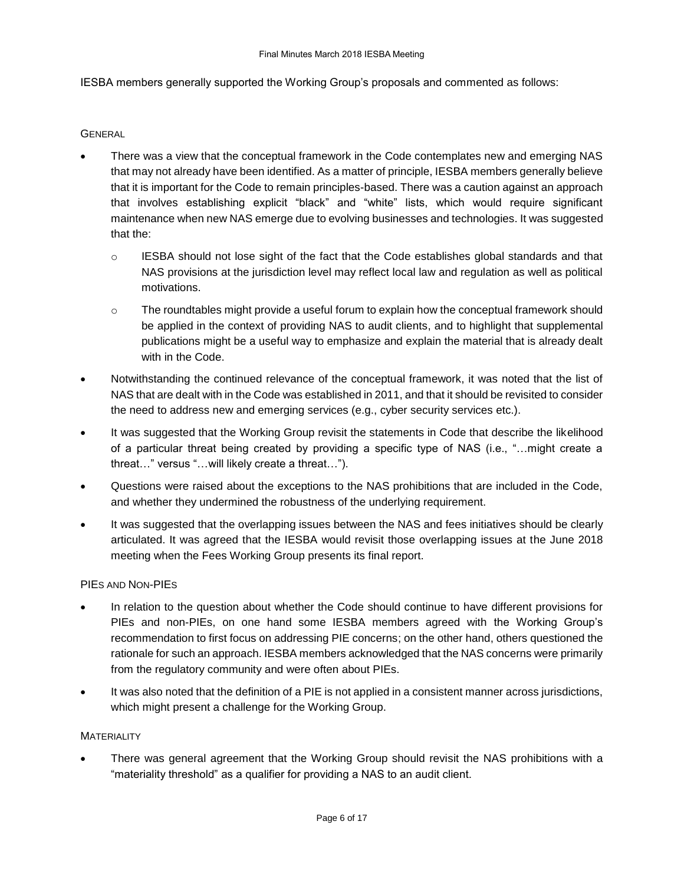IESBA members generally supported the Working Group's proposals and commented as follows:

#### **GENERAL**

- There was a view that the conceptual framework in the Code contemplates new and emerging NAS that may not already have been identified. As a matter of principle, IESBA members generally believe that it is important for the Code to remain principles-based. There was a caution against an approach that involves establishing explicit "black" and "white" lists, which would require significant maintenance when new NAS emerge due to evolving businesses and technologies. It was suggested that the:
	- $\circ$  IESBA should not lose sight of the fact that the Code establishes global standards and that NAS provisions at the jurisdiction level may reflect local law and regulation as well as political motivations.
	- $\circ$  The roundtables might provide a useful forum to explain how the conceptual framework should be applied in the context of providing NAS to audit clients, and to highlight that supplemental publications might be a useful way to emphasize and explain the material that is already dealt with in the Code.
- Notwithstanding the continued relevance of the conceptual framework, it was noted that the list of NAS that are dealt with in the Code was established in 2011, and that it should be revisited to consider the need to address new and emerging services (e.g., cyber security services etc.).
- It was suggested that the Working Group revisit the statements in Code that describe the likelihood of a particular threat being created by providing a specific type of NAS (i.e., "…might create a threat…" versus "…will likely create a threat…").
- Questions were raised about the exceptions to the NAS prohibitions that are included in the Code, and whether they undermined the robustness of the underlying requirement.
- It was suggested that the overlapping issues between the NAS and fees initiatives should be clearly articulated. It was agreed that the IESBA would revisit those overlapping issues at the June 2018 meeting when the Fees Working Group presents its final report.

#### PIES AND NON-PIES

- In relation to the question about whether the Code should continue to have different provisions for PIEs and non-PIEs, on one hand some IESBA members agreed with the Working Group's recommendation to first focus on addressing PIE concerns; on the other hand, others questioned the rationale for such an approach. IESBA members acknowledged that the NAS concerns were primarily from the regulatory community and were often about PIEs.
- It was also noted that the definition of a PIE is not applied in a consistent manner across jurisdictions, which might present a challenge for the Working Group.

#### **MATERIALITY**

 There was general agreement that the Working Group should revisit the NAS prohibitions with a "materiality threshold" as a qualifier for providing a NAS to an audit client.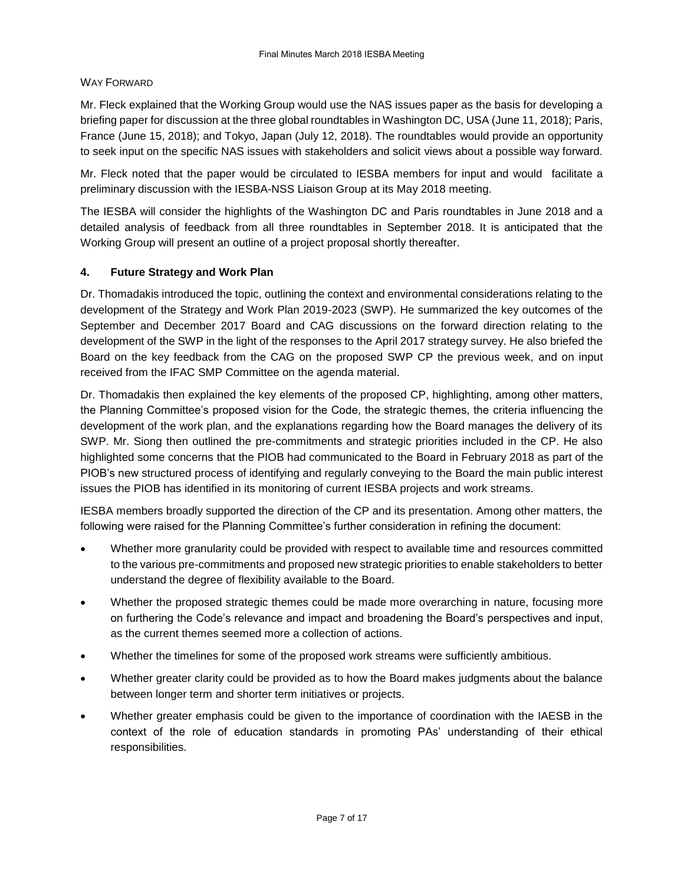# WAY FORWARD

Mr. Fleck explained that the Working Group would use the NAS issues paper as the basis for developing a briefing paper for discussion at the three global roundtables in Washington DC, USA (June 11, 2018); Paris, France (June 15, 2018); and Tokyo, Japan (July 12, 2018). The roundtables would provide an opportunity to seek input on the specific NAS issues with stakeholders and solicit views about a possible way forward.

Mr. Fleck noted that the paper would be circulated to IESBA members for input and would facilitate a preliminary discussion with the IESBA-NSS Liaison Group at its May 2018 meeting.

The IESBA will consider the highlights of the Washington DC and Paris roundtables in June 2018 and a detailed analysis of feedback from all three roundtables in September 2018. It is anticipated that the Working Group will present an outline of a project proposal shortly thereafter.

# **4. Future Strategy and Work Plan**

Dr. Thomadakis introduced the topic, outlining the context and environmental considerations relating to the development of the Strategy and Work Plan 2019-2023 (SWP). He summarized the key outcomes of the September and December 2017 Board and CAG discussions on the forward direction relating to the development of the SWP in the light of the responses to the April 2017 strategy survey. He also briefed the Board on the key feedback from the CAG on the proposed SWP CP the previous week, and on input received from the IFAC SMP Committee on the agenda material.

Dr. Thomadakis then explained the key elements of the proposed CP, highlighting, among other matters, the Planning Committee's proposed vision for the Code, the strategic themes, the criteria influencing the development of the work plan, and the explanations regarding how the Board manages the delivery of its SWP. Mr. Siong then outlined the pre-commitments and strategic priorities included in the CP. He also highlighted some concerns that the PIOB had communicated to the Board in February 2018 as part of the PIOB's new structured process of identifying and regularly conveying to the Board the main public interest issues the PIOB has identified in its monitoring of current IESBA projects and work streams.

IESBA members broadly supported the direction of the CP and its presentation. Among other matters, the following were raised for the Planning Committee's further consideration in refining the document:

- Whether more granularity could be provided with respect to available time and resources committed to the various pre-commitments and proposed new strategic priorities to enable stakeholders to better understand the degree of flexibility available to the Board.
- Whether the proposed strategic themes could be made more overarching in nature, focusing more on furthering the Code's relevance and impact and broadening the Board's perspectives and input, as the current themes seemed more a collection of actions.
- Whether the timelines for some of the proposed work streams were sufficiently ambitious.
- Whether greater clarity could be provided as to how the Board makes judgments about the balance between longer term and shorter term initiatives or projects.
- Whether greater emphasis could be given to the importance of coordination with the IAESB in the context of the role of education standards in promoting PAs' understanding of their ethical responsibilities.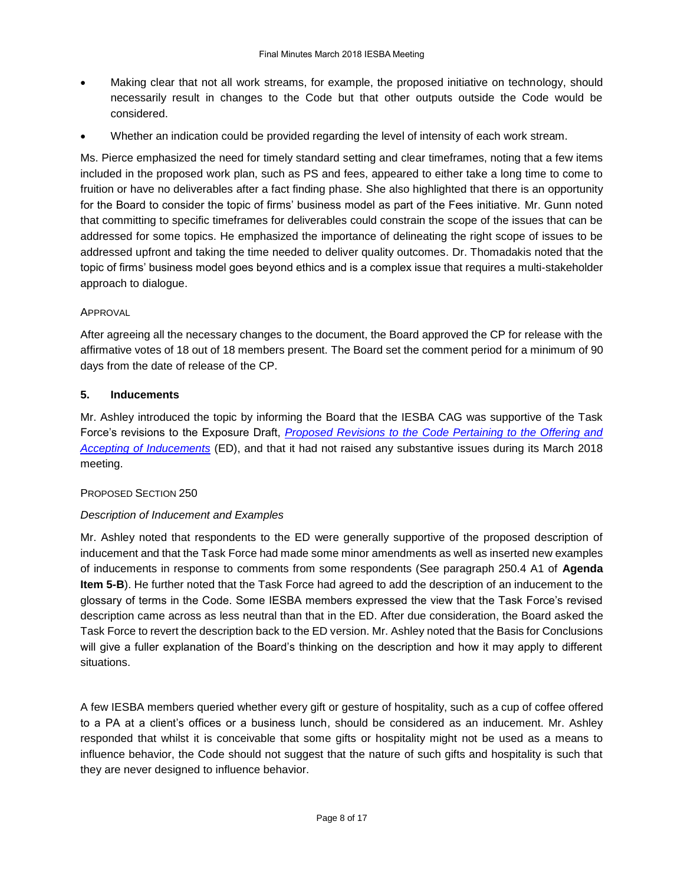- Making clear that not all work streams, for example, the proposed initiative on technology, should necessarily result in changes to the Code but that other outputs outside the Code would be considered.
- Whether an indication could be provided regarding the level of intensity of each work stream.

Ms. Pierce emphasized the need for timely standard setting and clear timeframes, noting that a few items included in the proposed work plan, such as PS and fees, appeared to either take a long time to come to fruition or have no deliverables after a fact finding phase. She also highlighted that there is an opportunity for the Board to consider the topic of firms' business model as part of the Fees initiative. Mr. Gunn noted that committing to specific timeframes for deliverables could constrain the scope of the issues that can be addressed for some topics. He emphasized the importance of delineating the right scope of issues to be addressed upfront and taking the time needed to deliver quality outcomes. Dr. Thomadakis noted that the topic of firms' business model goes beyond ethics and is a complex issue that requires a multi-stakeholder approach to dialogue.

# APPROVAL

After agreeing all the necessary changes to the document, the Board approved the CP for release with the affirmative votes of 18 out of 18 members present. The Board set the comment period for a minimum of 90 days from the date of release of the CP.

# **5. Inducements**

Mr. Ashley introduced the topic by informing the Board that the IESBA CAG was supportive of the Task Force's revisions to the Exposure Draft, *[Proposed Revisions to the Code Pertaining to the Offering and](https://www.ifac.org/publications-resources/exposure-draft-proposed-revisions-code-pertaining-offering-and-accepting)  [Accepting of Inducements](https://www.ifac.org/publications-resources/exposure-draft-proposed-revisions-code-pertaining-offering-and-accepting)* (ED), and that it had not raised any substantive issues during its March 2018 meeting.

# PROPOSED SECTION 250

# *Description of Inducement and Examples*

Mr. Ashley noted that respondents to the ED were generally supportive of the proposed description of inducement and that the Task Force had made some minor amendments as well as inserted new examples of inducements in response to comments from some respondents (See paragraph 250.4 A1 of **Agenda Item 5-B**). He further noted that the Task Force had agreed to add the description of an inducement to the glossary of terms in the Code. Some IESBA members expressed the view that the Task Force's revised description came across as less neutral than that in the ED. After due consideration, the Board asked the Task Force to revert the description back to the ED version. Mr. Ashley noted that the Basis for Conclusions will give a fuller explanation of the Board's thinking on the description and how it may apply to different situations.

A few IESBA members queried whether every gift or gesture of hospitality, such as a cup of coffee offered to a PA at a client's offices or a business lunch, should be considered as an inducement. Mr. Ashley responded that whilst it is conceivable that some gifts or hospitality might not be used as a means to influence behavior, the Code should not suggest that the nature of such gifts and hospitality is such that they are never designed to influence behavior.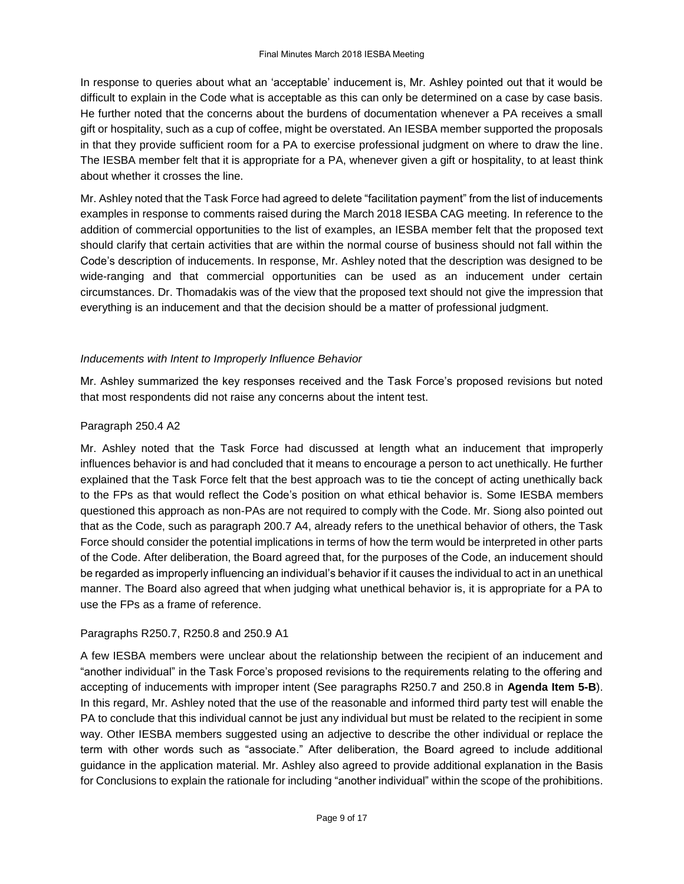In response to queries about what an 'acceptable' inducement is, Mr. Ashley pointed out that it would be difficult to explain in the Code what is acceptable as this can only be determined on a case by case basis. He further noted that the concerns about the burdens of documentation whenever a PA receives a small gift or hospitality, such as a cup of coffee, might be overstated. An IESBA member supported the proposals in that they provide sufficient room for a PA to exercise professional judgment on where to draw the line. The IESBA member felt that it is appropriate for a PA, whenever given a gift or hospitality, to at least think about whether it crosses the line.

Mr. Ashley noted that the Task Force had agreed to delete "facilitation payment" from the list of inducements examples in response to comments raised during the March 2018 IESBA CAG meeting. In reference to the addition of commercial opportunities to the list of examples, an IESBA member felt that the proposed text should clarify that certain activities that are within the normal course of business should not fall within the Code's description of inducements. In response, Mr. Ashley noted that the description was designed to be wide-ranging and that commercial opportunities can be used as an inducement under certain circumstances. Dr. Thomadakis was of the view that the proposed text should not give the impression that everything is an inducement and that the decision should be a matter of professional judgment.

#### *Inducements with Intent to Improperly Influence Behavior*

Mr. Ashley summarized the key responses received and the Task Force's proposed revisions but noted that most respondents did not raise any concerns about the intent test.

#### Paragraph 250.4 A2

Mr. Ashley noted that the Task Force had discussed at length what an inducement that improperly influences behavior is and had concluded that it means to encourage a person to act unethically. He further explained that the Task Force felt that the best approach was to tie the concept of acting unethically back to the FPs as that would reflect the Code's position on what ethical behavior is. Some IESBA members questioned this approach as non-PAs are not required to comply with the Code. Mr. Siong also pointed out that as the Code, such as paragraph 200.7 A4, already refers to the unethical behavior of others, the Task Force should consider the potential implications in terms of how the term would be interpreted in other parts of the Code. After deliberation, the Board agreed that, for the purposes of the Code, an inducement should be regarded as improperly influencing an individual's behavior if it causes the individual to act in an unethical manner. The Board also agreed that when judging what unethical behavior is, it is appropriate for a PA to use the FPs as a frame of reference.

#### Paragraphs R250.7, R250.8 and 250.9 A1

A few IESBA members were unclear about the relationship between the recipient of an inducement and "another individual" in the Task Force's proposed revisions to the requirements relating to the offering and accepting of inducements with improper intent (See paragraphs R250.7 and 250.8 in **Agenda Item 5-B**). In this regard, Mr. Ashley noted that the use of the reasonable and informed third party test will enable the PA to conclude that this individual cannot be just any individual but must be related to the recipient in some way. Other IESBA members suggested using an adjective to describe the other individual or replace the term with other words such as "associate." After deliberation, the Board agreed to include additional guidance in the application material. Mr. Ashley also agreed to provide additional explanation in the Basis for Conclusions to explain the rationale for including "another individual" within the scope of the prohibitions.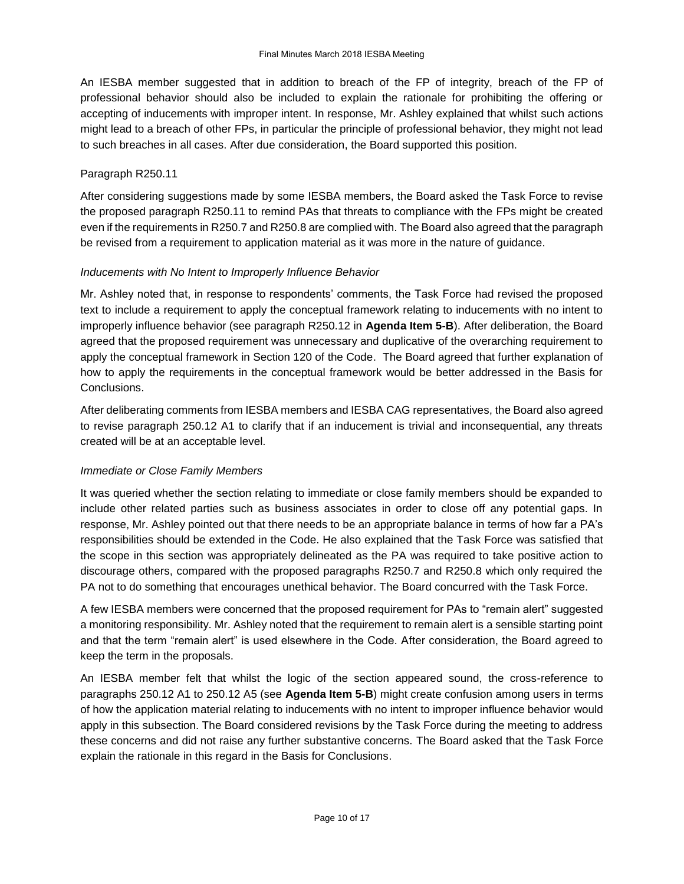An IESBA member suggested that in addition to breach of the FP of integrity, breach of the FP of professional behavior should also be included to explain the rationale for prohibiting the offering or accepting of inducements with improper intent. In response, Mr. Ashley explained that whilst such actions might lead to a breach of other FPs, in particular the principle of professional behavior, they might not lead to such breaches in all cases. After due consideration, the Board supported this position.

#### Paragraph R250.11

After considering suggestions made by some IESBA members, the Board asked the Task Force to revise the proposed paragraph R250.11 to remind PAs that threats to compliance with the FPs might be created even if the requirements in R250.7 and R250.8 are complied with. The Board also agreed that the paragraph be revised from a requirement to application material as it was more in the nature of guidance.

#### *Inducements with No Intent to Improperly Influence Behavior*

Mr. Ashley noted that, in response to respondents' comments, the Task Force had revised the proposed text to include a requirement to apply the conceptual framework relating to inducements with no intent to improperly influence behavior (see paragraph R250.12 in **Agenda Item 5-B**). After deliberation, the Board agreed that the proposed requirement was unnecessary and duplicative of the overarching requirement to apply the conceptual framework in Section 120 of the Code. The Board agreed that further explanation of how to apply the requirements in the conceptual framework would be better addressed in the Basis for Conclusions.

After deliberating comments from IESBA members and IESBA CAG representatives, the Board also agreed to revise paragraph 250.12 A1 to clarify that if an inducement is trivial and inconsequential, any threats created will be at an acceptable level.

# *Immediate or Close Family Members*

It was queried whether the section relating to immediate or close family members should be expanded to include other related parties such as business associates in order to close off any potential gaps. In response, Mr. Ashley pointed out that there needs to be an appropriate balance in terms of how far a PA's responsibilities should be extended in the Code. He also explained that the Task Force was satisfied that the scope in this section was appropriately delineated as the PA was required to take positive action to discourage others, compared with the proposed paragraphs R250.7 and R250.8 which only required the PA not to do something that encourages unethical behavior. The Board concurred with the Task Force.

A few IESBA members were concerned that the proposed requirement for PAs to "remain alert" suggested a monitoring responsibility. Mr. Ashley noted that the requirement to remain alert is a sensible starting point and that the term "remain alert" is used elsewhere in the Code. After consideration, the Board agreed to keep the term in the proposals.

An IESBA member felt that whilst the logic of the section appeared sound, the cross-reference to paragraphs 250.12 A1 to 250.12 A5 (see **Agenda Item 5-B**) might create confusion among users in terms of how the application material relating to inducements with no intent to improper influence behavior would apply in this subsection. The Board considered revisions by the Task Force during the meeting to address these concerns and did not raise any further substantive concerns. The Board asked that the Task Force explain the rationale in this regard in the Basis for Conclusions.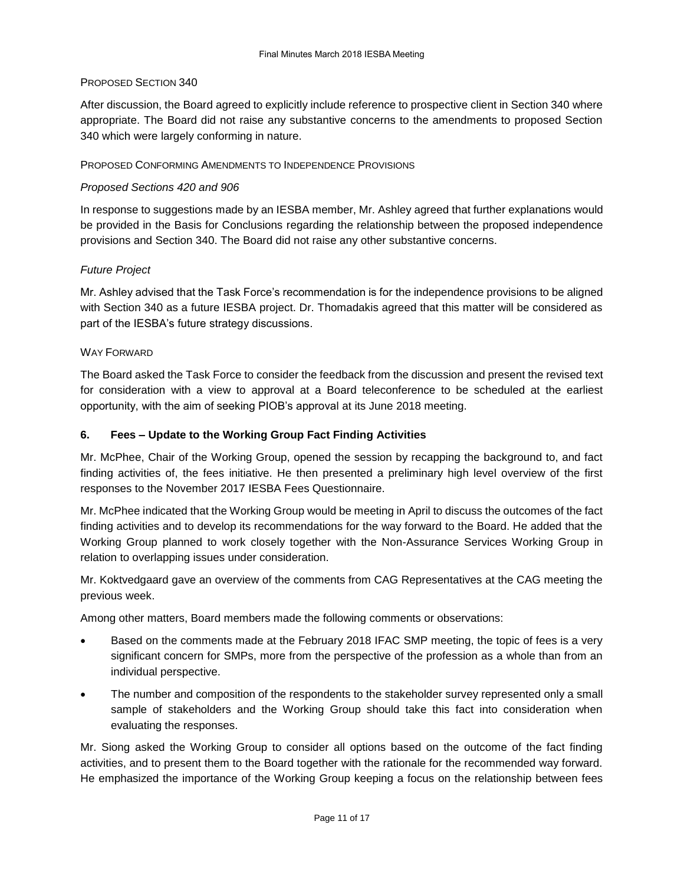#### PROPOSED SECTION 340

After discussion, the Board agreed to explicitly include reference to prospective client in Section 340 where appropriate. The Board did not raise any substantive concerns to the amendments to proposed Section 340 which were largely conforming in nature.

### PROPOSED CONFORMING AMENDMENTS TO INDEPENDENCE PROVISIONS

#### *Proposed Sections 420 and 906*

In response to suggestions made by an IESBA member, Mr. Ashley agreed that further explanations would be provided in the Basis for Conclusions regarding the relationship between the proposed independence provisions and Section 340. The Board did not raise any other substantive concerns.

#### *Future Project*

Mr. Ashley advised that the Task Force's recommendation is for the independence provisions to be aligned with Section 340 as a future IESBA project. Dr. Thomadakis agreed that this matter will be considered as part of the IESBA's future strategy discussions.

#### WAY FORWARD

The Board asked the Task Force to consider the feedback from the discussion and present the revised text for consideration with a view to approval at a Board teleconference to be scheduled at the earliest opportunity, with the aim of seeking PIOB's approval at its June 2018 meeting.

#### **6. Fees – Update to the Working Group Fact Finding Activities**

Mr. McPhee, Chair of the Working Group, opened the session by recapping the background to, and fact finding activities of, the fees initiative. He then presented a preliminary high level overview of the first responses to the November 2017 IESBA Fees Questionnaire.

Mr. McPhee indicated that the Working Group would be meeting in April to discuss the outcomes of the fact finding activities and to develop its recommendations for the way forward to the Board. He added that the Working Group planned to work closely together with the Non-Assurance Services Working Group in relation to overlapping issues under consideration.

Mr. Koktvedgaard gave an overview of the comments from CAG Representatives at the CAG meeting the previous week.

Among other matters, Board members made the following comments or observations:

- Based on the comments made at the February 2018 IFAC SMP meeting, the topic of fees is a very significant concern for SMPs, more from the perspective of the profession as a whole than from an individual perspective.
- The number and composition of the respondents to the stakeholder survey represented only a small sample of stakeholders and the Working Group should take this fact into consideration when evaluating the responses.

Mr. Siong asked the Working Group to consider all options based on the outcome of the fact finding activities, and to present them to the Board together with the rationale for the recommended way forward. He emphasized the importance of the Working Group keeping a focus on the relationship between fees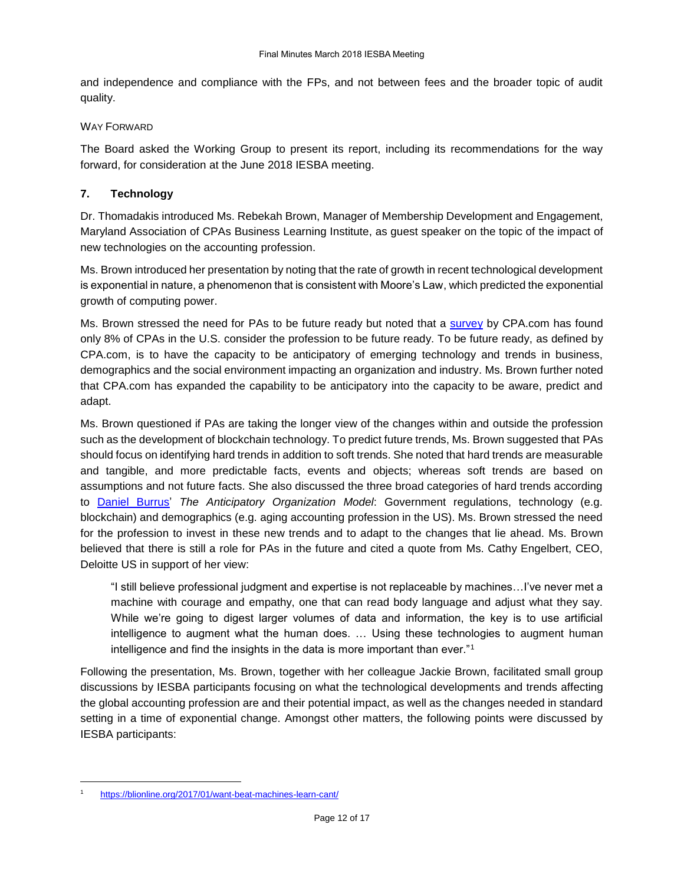and independence and compliance with the FPs, and not between fees and the broader topic of audit quality.

#### WAY FORWARD

The Board asked the Working Group to present its report, including its recommendations for the way forward, for consideration at the June 2018 IESBA meeting.

# **7. Technology**

Dr. Thomadakis introduced Ms. Rebekah Brown, Manager of Membership Development and Engagement, Maryland Association of CPAs Business Learning Institute, as guest speaker on the topic of the impact of new technologies on the accounting profession.

Ms. Brown introduced her presentation by noting that the rate of growth in recent technological development is exponential in nature, a phenomenon that is consistent with Moore's Law, which predicted the exponential growth of computing power.

Ms. Brown stressed the need for PAs to be future ready but noted that a [survey](https://www.aicpa.org/Press/PublishingImages/CPA-of-Future-Study.pdf) by CPA.com has found only 8% of CPAs in the U.S. consider the profession to be future ready. To be future ready, as defined by CPA.com, is to have the capacity to be anticipatory of emerging technology and trends in business, demographics and the social environment impacting an organization and industry. Ms. Brown further noted that CPA.com has expanded the capability to be anticipatory into the capacity to be aware, predict and adapt.

Ms. Brown questioned if PAs are taking the longer view of the changes within and outside the profession such as the development of blockchain technology. To predict future trends, Ms. Brown suggested that PAs should focus on identifying hard trends in addition to soft trends. She noted that hard trends are measurable and tangible, and more predictable facts, events and objects; whereas soft trends are based on assumptions and not future facts. She also discussed the three broad categories of hard trends according to [Daniel Burrus'](https://www.burrus.com/about/about-daniel-burrus/) *The Anticipatory Organization Model*: Government regulations, technology (e.g. blockchain) and demographics (e.g. aging accounting profession in the US). Ms. Brown stressed the need for the profession to invest in these new trends and to adapt to the changes that lie ahead. Ms. Brown believed that there is still a role for PAs in the future and cited a quote from Ms. Cathy Engelbert, CEO, Deloitte US in support of her view:

"I still believe professional judgment and expertise is not replaceable by machines…I've never met a machine with courage and empathy, one that can read body language and adjust what they say. While we're going to digest larger volumes of data and information, the key is to use artificial intelligence to augment what the human does. … Using these technologies to augment human intelligence and find the insights in the data is more important than ever."<sup>1</sup>

Following the presentation, Ms. Brown, together with her colleague Jackie Brown, facilitated small group discussions by IESBA participants focusing on what the technological developments and trends affecting the global accounting profession are and their potential impact, as well as the changes needed in standard setting in a time of exponential change. Amongst other matters, the following points were discussed by IESBA participants:

1

<https://blionline.org/2017/01/want-beat-machines-learn-cant/>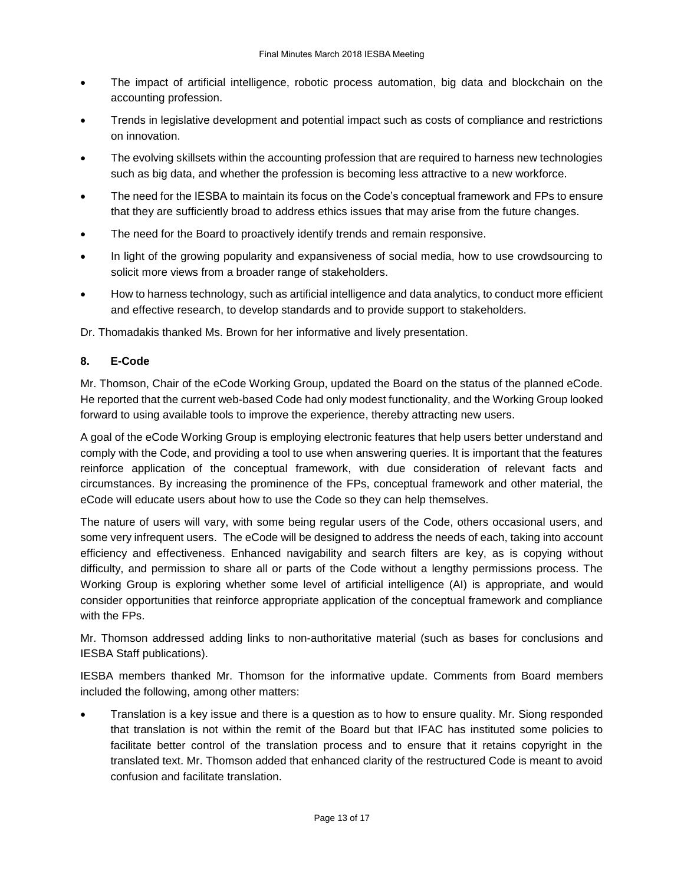- The impact of artificial intelligence, robotic process automation, big data and blockchain on the accounting profession.
- Trends in legislative development and potential impact such as costs of compliance and restrictions on innovation.
- The evolving skillsets within the accounting profession that are required to harness new technologies such as big data, and whether the profession is becoming less attractive to a new workforce.
- The need for the IESBA to maintain its focus on the Code's conceptual framework and FPs to ensure that they are sufficiently broad to address ethics issues that may arise from the future changes.
- The need for the Board to proactively identify trends and remain responsive.
- In light of the growing popularity and expansiveness of social media, how to use crowdsourcing to solicit more views from a broader range of stakeholders.
- How to harness technology, such as artificial intelligence and data analytics, to conduct more efficient and effective research, to develop standards and to provide support to stakeholders.

Dr. Thomadakis thanked Ms. Brown for her informative and lively presentation.

# **8. E-Code**

Mr. Thomson, Chair of the eCode Working Group, updated the Board on the status of the planned eCode. He reported that the current web-based Code had only modest functionality, and the Working Group looked forward to using available tools to improve the experience, thereby attracting new users.

A goal of the eCode Working Group is employing electronic features that help users better understand and comply with the Code, and providing a tool to use when answering queries. It is important that the features reinforce application of the conceptual framework, with due consideration of relevant facts and circumstances. By increasing the prominence of the FPs, conceptual framework and other material, the eCode will educate users about how to use the Code so they can help themselves.

The nature of users will vary, with some being regular users of the Code, others occasional users, and some very infrequent users. The eCode will be designed to address the needs of each, taking into account efficiency and effectiveness. Enhanced navigability and search filters are key, as is copying without difficulty, and permission to share all or parts of the Code without a lengthy permissions process. The Working Group is exploring whether some level of artificial intelligence (AI) is appropriate, and would consider opportunities that reinforce appropriate application of the conceptual framework and compliance with the FPs.

Mr. Thomson addressed adding links to non-authoritative material (such as bases for conclusions and IESBA Staff publications).

IESBA members thanked Mr. Thomson for the informative update. Comments from Board members included the following, among other matters:

 Translation is a key issue and there is a question as to how to ensure quality. Mr. Siong responded that translation is not within the remit of the Board but that IFAC has instituted some policies to facilitate better control of the translation process and to ensure that it retains copyright in the translated text. Mr. Thomson added that enhanced clarity of the restructured Code is meant to avoid confusion and facilitate translation.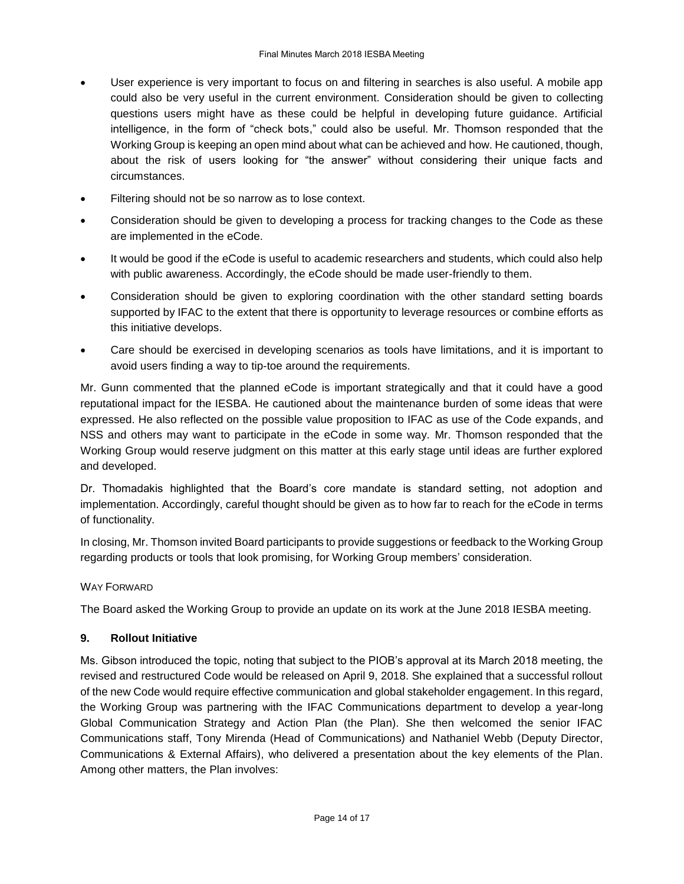- User experience is very important to focus on and filtering in searches is also useful. A mobile app could also be very useful in the current environment. Consideration should be given to collecting questions users might have as these could be helpful in developing future guidance. Artificial intelligence, in the form of "check bots," could also be useful. Mr. Thomson responded that the Working Group is keeping an open mind about what can be achieved and how. He cautioned, though, about the risk of users looking for "the answer" without considering their unique facts and circumstances.
- Filtering should not be so narrow as to lose context.
- Consideration should be given to developing a process for tracking changes to the Code as these are implemented in the eCode.
- It would be good if the eCode is useful to academic researchers and students, which could also help with public awareness. Accordingly, the eCode should be made user-friendly to them.
- Consideration should be given to exploring coordination with the other standard setting boards supported by IFAC to the extent that there is opportunity to leverage resources or combine efforts as this initiative develops.
- Care should be exercised in developing scenarios as tools have limitations, and it is important to avoid users finding a way to tip-toe around the requirements.

Mr. Gunn commented that the planned eCode is important strategically and that it could have a good reputational impact for the IESBA. He cautioned about the maintenance burden of some ideas that were expressed. He also reflected on the possible value proposition to IFAC as use of the Code expands, and NSS and others may want to participate in the eCode in some way. Mr. Thomson responded that the Working Group would reserve judgment on this matter at this early stage until ideas are further explored and developed.

Dr. Thomadakis highlighted that the Board's core mandate is standard setting, not adoption and implementation. Accordingly, careful thought should be given as to how far to reach for the eCode in terms of functionality.

In closing, Mr. Thomson invited Board participants to provide suggestions or feedback to the Working Group regarding products or tools that look promising, for Working Group members' consideration.

#### WAY FORWARD

The Board asked the Working Group to provide an update on its work at the June 2018 IESBA meeting.

#### **9. Rollout Initiative**

Ms. Gibson introduced the topic, noting that subject to the PIOB's approval at its March 2018 meeting, the revised and restructured Code would be released on April 9, 2018. She explained that a successful rollout of the new Code would require effective communication and global stakeholder engagement. In this regard, the Working Group was partnering with the IFAC Communications department to develop a year-long Global Communication Strategy and Action Plan (the Plan). She then welcomed the senior IFAC Communications staff, Tony Mirenda (Head of Communications) and Nathaniel Webb (Deputy Director, Communications & External Affairs), who delivered a presentation about the key elements of the Plan. Among other matters, the Plan involves: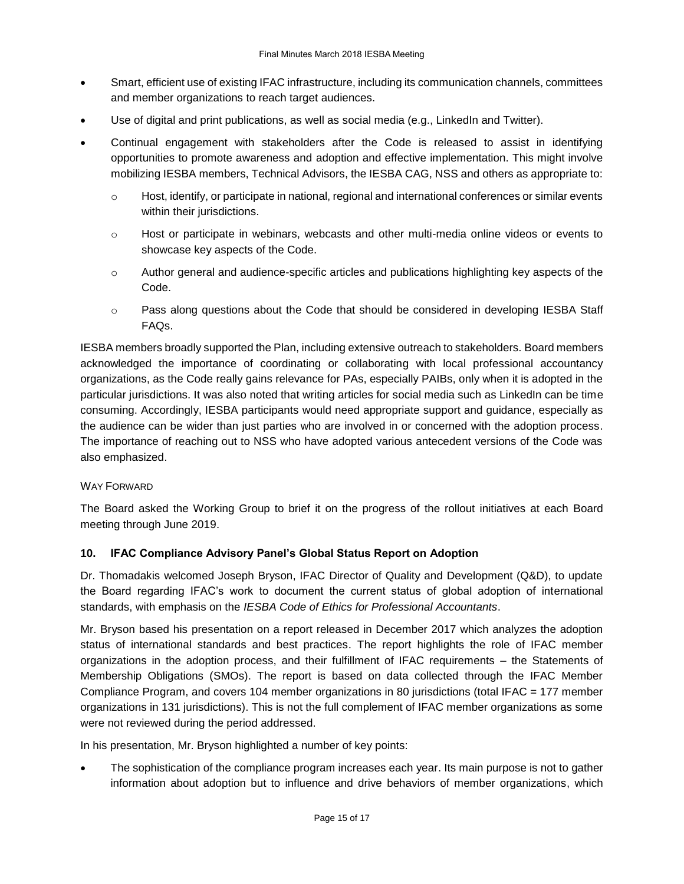- Smart, efficient use of existing IFAC infrastructure, including its communication channels, committees and member organizations to reach target audiences.
- Use of digital and print publications, as well as social media (e.g., LinkedIn and Twitter).
- Continual engagement with stakeholders after the Code is released to assist in identifying opportunities to promote awareness and adoption and effective implementation. This might involve mobilizing IESBA members, Technical Advisors, the IESBA CAG, NSS and others as appropriate to:
	- o Host, identify, or participate in national, regional and international conferences or similar events within their jurisdictions.
	- o Host or participate in webinars, webcasts and other multi-media online videos or events to showcase key aspects of the Code.
	- o Author general and audience-specific articles and publications highlighting key aspects of the Code.
	- o Pass along questions about the Code that should be considered in developing IESBA Staff FAQs.

IESBA members broadly supported the Plan, including extensive outreach to stakeholders. Board members acknowledged the importance of coordinating or collaborating with local professional accountancy organizations, as the Code really gains relevance for PAs, especially PAIBs, only when it is adopted in the particular jurisdictions. It was also noted that writing articles for social media such as LinkedIn can be time consuming. Accordingly, IESBA participants would need appropriate support and guidance, especially as the audience can be wider than just parties who are involved in or concerned with the adoption process. The importance of reaching out to NSS who have adopted various antecedent versions of the Code was also emphasized.

#### WAY FORWARD

The Board asked the Working Group to brief it on the progress of the rollout initiatives at each Board meeting through June 2019.

#### **10. IFAC Compliance Advisory Panel's Global Status Report on Adoption**

Dr. Thomadakis welcomed Joseph Bryson, IFAC Director of Quality and Development (Q&D), to update the Board regarding IFAC's work to document the current status of global adoption of international standards, with emphasis on the *IESBA Code of Ethics for Professional Accountants*.

Mr. Bryson based his presentation on a report released in December 2017 which analyzes the adoption status of international standards and best practices. The report highlights the role of IFAC member organizations in the adoption process, and their fulfillment of IFAC requirements – the Statements of Membership Obligations (SMOs). The report is based on data collected through the IFAC Member Compliance Program, and covers 104 member organizations in 80 jurisdictions (total IFAC = 177 member organizations in 131 jurisdictions). This is not the full complement of IFAC member organizations as some were not reviewed during the period addressed.

In his presentation, Mr. Bryson highlighted a number of key points:

 The sophistication of the compliance program increases each year. Its main purpose is not to gather information about adoption but to influence and drive behaviors of member organizations, which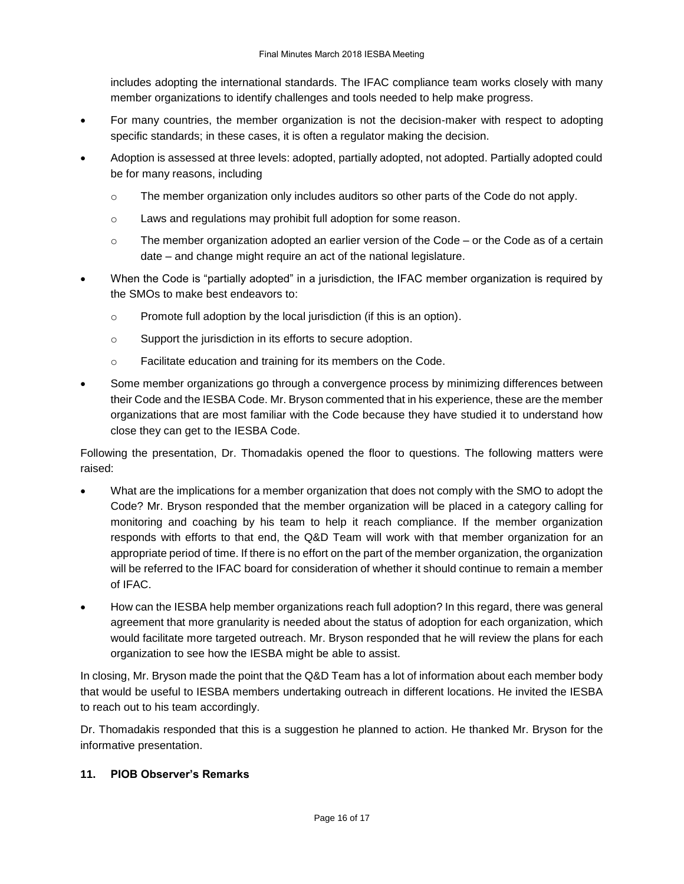includes adopting the international standards. The IFAC compliance team works closely with many member organizations to identify challenges and tools needed to help make progress.

- For many countries, the member organization is not the decision-maker with respect to adopting specific standards; in these cases, it is often a regulator making the decision.
- Adoption is assessed at three levels: adopted, partially adopted, not adopted. Partially adopted could be for many reasons, including
	- o The member organization only includes auditors so other parts of the Code do not apply.
	- o Laws and regulations may prohibit full adoption for some reason.
	- $\circ$  The member organization adopted an earlier version of the Code or the Code as of a certain date – and change might require an act of the national legislature.
- When the Code is "partially adopted" in a jurisdiction, the IFAC member organization is required by the SMOs to make best endeavors to:
	- o Promote full adoption by the local jurisdiction (if this is an option).
	- o Support the jurisdiction in its efforts to secure adoption.
	- o Facilitate education and training for its members on the Code.
- Some member organizations go through a convergence process by minimizing differences between their Code and the IESBA Code. Mr. Bryson commented that in his experience, these are the member organizations that are most familiar with the Code because they have studied it to understand how close they can get to the IESBA Code.

Following the presentation, Dr. Thomadakis opened the floor to questions. The following matters were raised:

- What are the implications for a member organization that does not comply with the SMO to adopt the Code? Mr. Bryson responded that the member organization will be placed in a category calling for monitoring and coaching by his team to help it reach compliance. If the member organization responds with efforts to that end, the Q&D Team will work with that member organization for an appropriate period of time. If there is no effort on the part of the member organization, the organization will be referred to the IFAC board for consideration of whether it should continue to remain a member of IFAC.
- How can the IESBA help member organizations reach full adoption? In this regard, there was general agreement that more granularity is needed about the status of adoption for each organization, which would facilitate more targeted outreach. Mr. Bryson responded that he will review the plans for each organization to see how the IESBA might be able to assist.

In closing, Mr. Bryson made the point that the Q&D Team has a lot of information about each member body that would be useful to IESBA members undertaking outreach in different locations. He invited the IESBA to reach out to his team accordingly.

Dr. Thomadakis responded that this is a suggestion he planned to action. He thanked Mr. Bryson for the informative presentation.

# **11. PIOB Observer's Remarks**